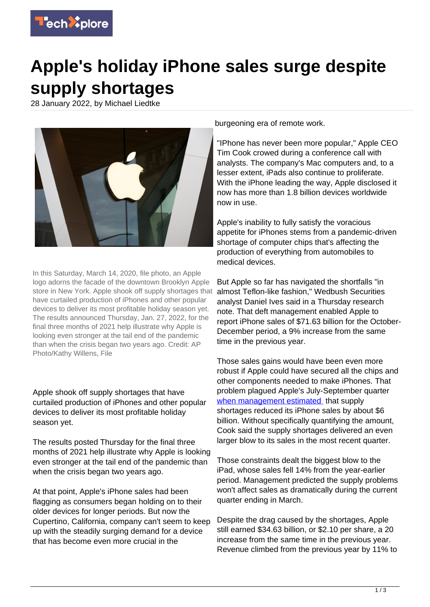

## **Apple's holiday iPhone sales surge despite supply shortages**

28 January 2022, by Michael Liedtke



In this Saturday, March 14, 2020, file photo, an Apple logo adorns the facade of the downtown Brooklyn Apple store in New York. Apple shook off supply shortages that have curtailed production of iPhones and other popular devices to deliver its most profitable holiday season yet. The results announced Thursday, Jan. 27, 2022, for the final three months of 2021 help illustrate why Apple is looking even stronger at the tail end of the pandemic than when the crisis began two years ago. Credit: AP Photo/Kathy Willens, File

Apple shook off supply shortages that have curtailed production of iPhones and other popular devices to deliver its most profitable holiday season yet.

The results posted Thursday for the final three months of 2021 help illustrate why Apple is looking even stronger at the tail end of the pandemic than when the crisis began two years ago.

At that point, Apple's iPhone sales had been flagging as consumers began holding on to their older devices for longer periods. But now the Cupertino, California, company can't seem to keep up with the steadily surging demand for a device that has become even more crucial in the

burgeoning era of remote work.

"IPhone has never been more popular," Apple CEO Tim Cook crowed during a conference call with analysts. The company's Mac computers and, to a lesser extent, iPads also continue to proliferate. With the iPhone leading the way, Apple disclosed it now has more than 1.8 billion devices worldwide now in use.

Apple's inability to fully satisfy the voracious appetite for iPhones stems from a pandemic-driven shortage of computer chips that's affecting the production of everything from automobiles to medical devices.

But Apple so far has navigated the shortfalls "in almost Teflon-like fashion," Wedbush Securities analyst Daniel Ives said in a Thursday research note. That deft management enabled Apple to report iPhone sales of \$71.63 billion for the October-December period, a 9% increase from the same time in the previous year.

Those sales gains would have been even more robust if Apple could have secured all the chips and other components needed to make iPhones. That problem plagued Apple's July-September quarter [when management estimated](https://techxplore.com/news/2021-10-apple-strong-quarter-6b-shortage.html) that supply shortages reduced its iPhone sales by about \$6 billion. Without specifically quantifying the amount, Cook said the supply shortages delivered an even larger blow to its sales in the most recent quarter.

Those constraints dealt the biggest blow to the iPad, whose sales fell 14% from the year-earlier period. Management predicted the supply problems won't affect sales as dramatically during the current quarter ending in March.

Despite the drag caused by the shortages, Apple still earned \$34.63 billion, or \$2.10 per share, a 20 increase from the same time in the previous year. Revenue climbed from the previous year by 11% to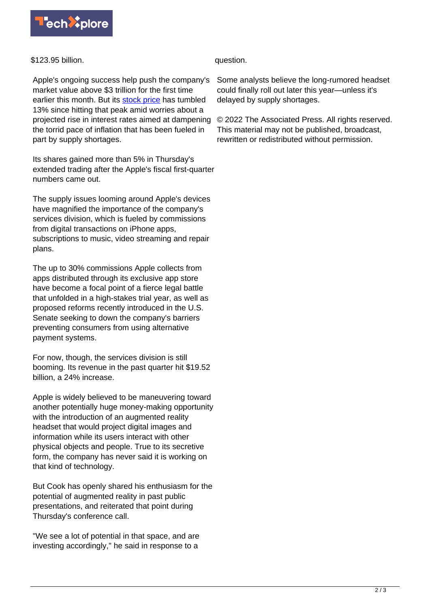

## \$123.95 billion.

Apple's ongoing success help push the company's market value above \$3 trillion for the first time earlier this month. But its [stock price](https://techxplore.com/tags/stock+price/) has tumbled 13% since hitting that peak amid worries about a projected rise in interest rates aimed at dampening the torrid pace of inflation that has been fueled in part by supply shortages.

Its shares gained more than 5% in Thursday's extended trading after the Apple's fiscal first-quarter numbers came out.

The supply issues looming around Apple's devices have magnified the importance of the company's services division, which is fueled by commissions from digital transactions on iPhone apps, subscriptions to music, video streaming and repair plans.

The up to 30% commissions Apple collects from apps distributed through its exclusive app store have become a focal point of a fierce legal battle that unfolded in a high-stakes trial year, as well as proposed reforms recently introduced in the U.S. Senate seeking to down the company's barriers preventing consumers from using alternative payment systems.

For now, though, the services division is still booming. Its revenue in the past quarter hit \$19.52 billion, a 24% increase.

Apple is widely believed to be maneuvering toward another potentially huge money-making opportunity with the introduction of an augmented reality headset that would project digital images and information while its users interact with other physical objects and people. True to its secretive form, the company has never said it is working on that kind of technology.

But Cook has openly shared his enthusiasm for the potential of augmented reality in past public presentations, and reiterated that point during Thursday's conference call.

"We see a lot of potential in that space, and are investing accordingly," he said in response to a

question.

Some analysts believe the long-rumored headset could finally roll out later this year—unless it's delayed by supply shortages.

© 2022 The Associated Press. All rights reserved. This material may not be published, broadcast, rewritten or redistributed without permission.